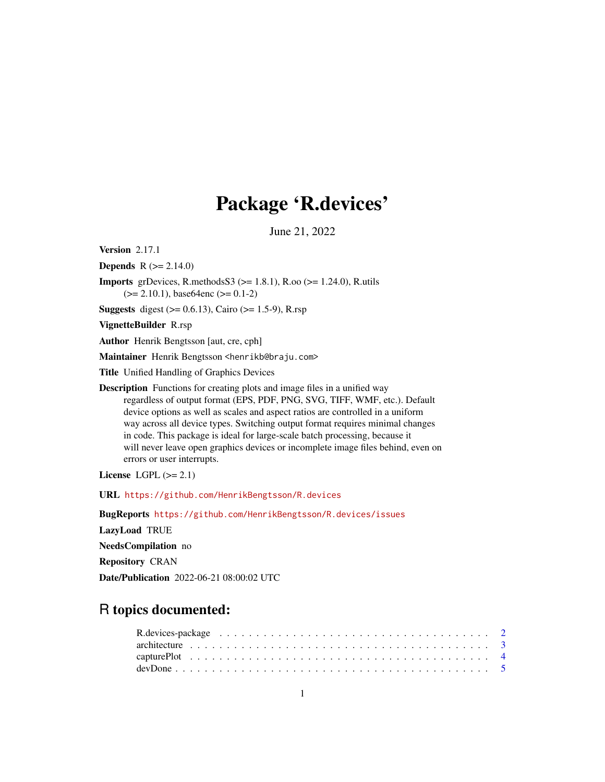## Package 'R.devices'

June 21, 2022

<span id="page-0-0"></span>Version 2.17.1

**Depends**  $R (= 2.14.0)$ 

**Imports** grDevices, R.methodsS3 ( $> = 1.8.1$ ), R.oo ( $> = 1.24.0$ ), R.utils  $(>= 2.10.1)$ , base64enc  $(>= 0.1-2)$ 

**Suggests** digest  $(>= 0.6.13)$ , Cairo  $(>= 1.5-9)$ , R.rsp

VignetteBuilder R.rsp

Author Henrik Bengtsson [aut, cre, cph]

Maintainer Henrik Bengtsson <henrikb@braju.com>

Title Unified Handling of Graphics Devices

Description Functions for creating plots and image files in a unified way regardless of output format (EPS, PDF, PNG, SVG, TIFF, WMF, etc.). Default device options as well as scales and aspect ratios are controlled in a uniform way across all device types. Switching output format requires minimal changes in code. This package is ideal for large-scale batch processing, because it will never leave open graphics devices or incomplete image files behind, even on errors or user interrupts.

License LGPL  $(>= 2.1)$ 

URL <https://github.com/HenrikBengtsson/R.devices>

BugReports <https://github.com/HenrikBengtsson/R.devices/issues>

LazyLoad TRUE

NeedsCompilation no

Repository CRAN

Date/Publication 2022-06-21 08:00:02 UTC

## R topics documented: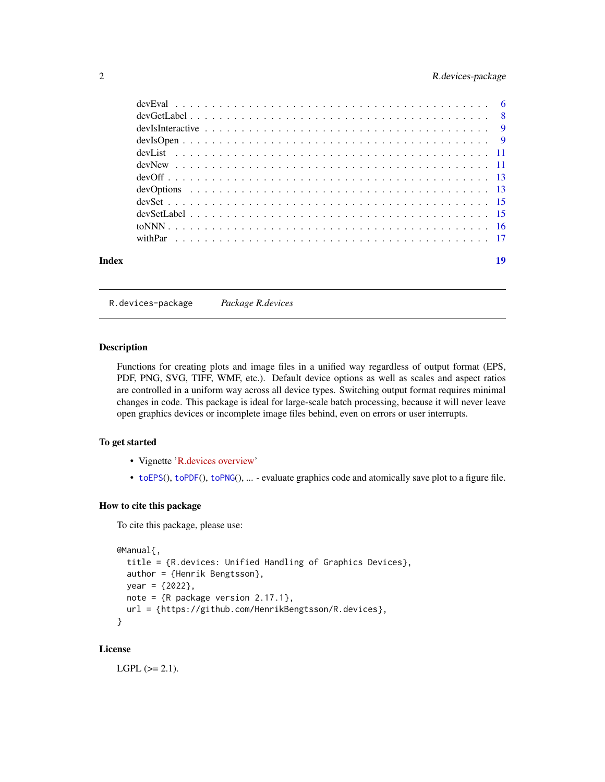## <span id="page-1-0"></span>2 R.devices-package

|       | $devGetLabel \dots \dots \dots \dots \dots \dots \dots \dots \dots \dots \dots \dots \dots \dots \dots \dots \dots$ |    |
|-------|---------------------------------------------------------------------------------------------------------------------|----|
|       |                                                                                                                     |    |
|       |                                                                                                                     |    |
|       |                                                                                                                     |    |
|       |                                                                                                                     |    |
|       |                                                                                                                     |    |
|       |                                                                                                                     |    |
|       |                                                                                                                     |    |
|       |                                                                                                                     |    |
|       |                                                                                                                     |    |
|       |                                                                                                                     |    |
| Index |                                                                                                                     | 19 |

## R.devices-package *Package R.devices*

#### Description

Functions for creating plots and image files in a unified way regardless of output format (EPS, PDF, PNG, SVG, TIFF, WMF, etc.). Default device options as well as scales and aspect ratios are controlled in a uniform way across all device types. Switching output format requires minimal changes in code. This package is ideal for large-scale batch processing, because it will never leave open graphics devices or incomplete image files behind, even on errors or user interrupts.

## To get started

- Vignette ['R.devices overview'](../doc/index.html)
- [toEPS](#page-15-1)(), [toPDF](#page-15-1)(), [toPNG](#page-15-1)(), ... evaluate graphics code and atomically save plot to a figure file.

## How to cite this package

To cite this package, please use:

```
@Manual{,
  title = {R.devices: Unified Handling of Graphics Devices},
  author = {Henrik Bengtsson},
 year = {2022},note = {R package version 2.17.1},
 url = {https://github.com/HenrikBengtsson/R.devices},
}
```
## License

LGPL  $(>= 2.1)$ .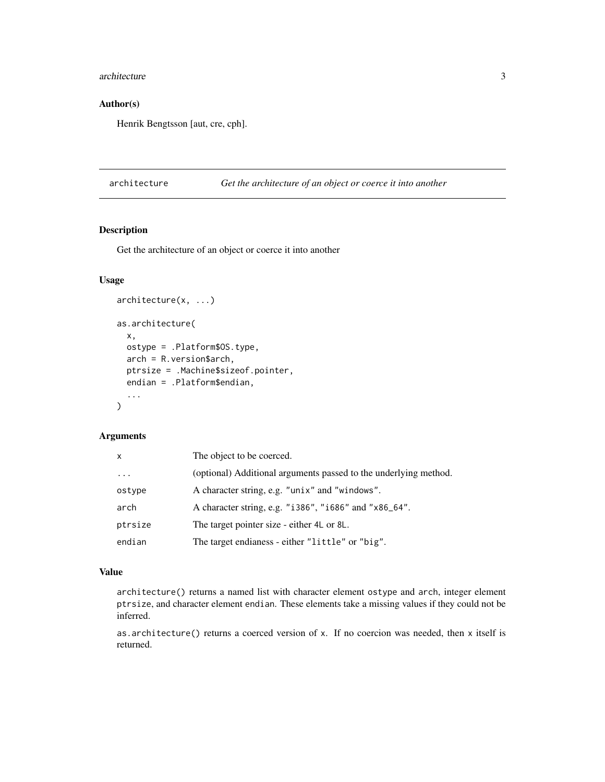#### <span id="page-2-0"></span>architecture 3

## Author(s)

Henrik Bengtsson [aut, cre, cph].

architecture *Get the architecture of an object or coerce it into another*

#### <span id="page-2-1"></span>Description

Get the architecture of an object or coerce it into another

## Usage

```
architecture(x, ...)
as.architecture(
  x,
  ostype = .Platform$OS.type,
  arch = R.version$arch,
 ptrsize = .Machine$sizeof.pointer,
  endian = .Platform$endian,
  ...
)
```
## Arguments

| $\times$ | The object to be coerced.                                        |
|----------|------------------------------------------------------------------|
| $\ddots$ | (optional) Additional arguments passed to the underlying method. |
| ostype   | A character string, e.g. "unix" and "windows".                   |
| arch     | A character string, e.g. "i386", "i686" and "x86_64".            |
| ptrsize  | The target pointer size - either 4L or 8L.                       |
| endian   | The target endianess - either "little" or "big".                 |

## Value

architecture() returns a named list with character element ostype and arch, integer element ptrsize, and character element endian. These elements take a missing values if they could not be inferred.

as.architecture() returns a coerced version of x. If no coercion was needed, then x itself is returned.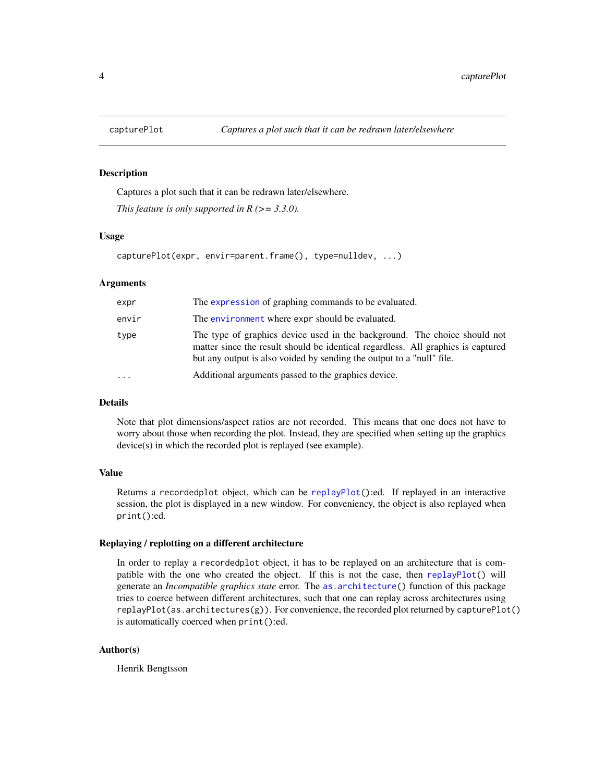<span id="page-3-0"></span>

Captures a plot such that it can be redrawn later/elsewhere. *This feature is only supported in R (>= 3.3.0).*

#### Usage

```
capturePlot(expr, envir=parent.frame(), type=nulldev, ...)
```
#### Arguments

| expr      | The expression of graphing commands to be evaluated.                                                                                                                                                                                   |
|-----------|----------------------------------------------------------------------------------------------------------------------------------------------------------------------------------------------------------------------------------------|
| envir     | The environment where expr should be evaluated.                                                                                                                                                                                        |
| type      | The type of graphics device used in the background. The choice should not<br>matter since the result should be identical regardless. All graphics is captured<br>but any output is also voided by sending the output to a "null" file. |
| $\ddotsc$ | Additional arguments passed to the graphics device.                                                                                                                                                                                    |

## Details

Note that plot dimensions/aspect ratios are not recorded. This means that one does not have to worry about those when recording the plot. Instead, they are specified when setting up the graphics device(s) in which the recorded plot is replayed (see example).

#### Value

Returns a recordedplot object, which can be [replayPlot\(](#page-0-0)):ed. If replayed in an interactive session, the plot is displayed in a new window. For conveniency, the object is also replayed when print():ed.

#### Replaying / replotting on a different architecture

In order to replay a recordedplot object, it has to be replayed on an architecture that is compatible with the one who created the object. If this is not the case, then [replayPlot\(](#page-0-0)) will generate an *Incompatible graphics state* error. The [as.architecture\(](#page-2-1)) function of this package tries to coerce between different architectures, such that one can replay across architectures using  $replayPlot(as.architectures(g))$ . For convenience, the recorded plot returned by capturePlot() is automatically coerced when print():ed.

## Author(s)

Henrik Bengtsson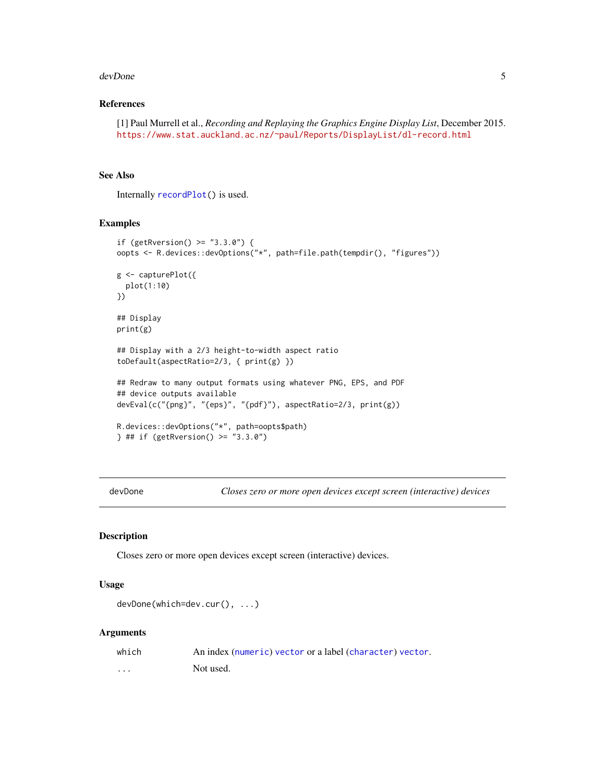#### <span id="page-4-0"></span>devDone 5

#### References

```
[1] Paul Murrell et al., Recording and Replaying the Graphics Engine Display List, December 2015.
https://www.stat.auckland.ac.nz/~paul/Reports/DisplayList/dl-record.html
```
## See Also

Internally [recordPlot\(](#page-0-0)) is used.

## Examples

```
if (getRversion() >= "3.3.0") {
oopts <- R.devices::devOptions("*", path=file.path(tempdir(), "figures"))
g <- capturePlot({
  plot(1:10)
})
## Display
print(g)
## Display with a 2/3 height-to-width aspect ratio
toDefault(aspectRatio=2/3, { print(g) })
## Redraw to many output formats using whatever PNG, EPS, and PDF
## device outputs available
devEval(c("{png}", "{eps}", "{pdf}"), aspectRatio=2/3, print(g))
R.devices::devOptions("*", path=oopts$path)
} ## if (getRversion() >= "3.3.0")
```
<span id="page-4-1"></span>devDone *Closes zero or more open devices except screen (interactive) devices*

#### Description

Closes zero or more open devices except screen (interactive) devices.

#### Usage

```
devDone(which=dev.cur(), ...)
```

| which | An index (numeric) vector or a label (character) vector. |
|-------|----------------------------------------------------------|
| .     | Not used.                                                |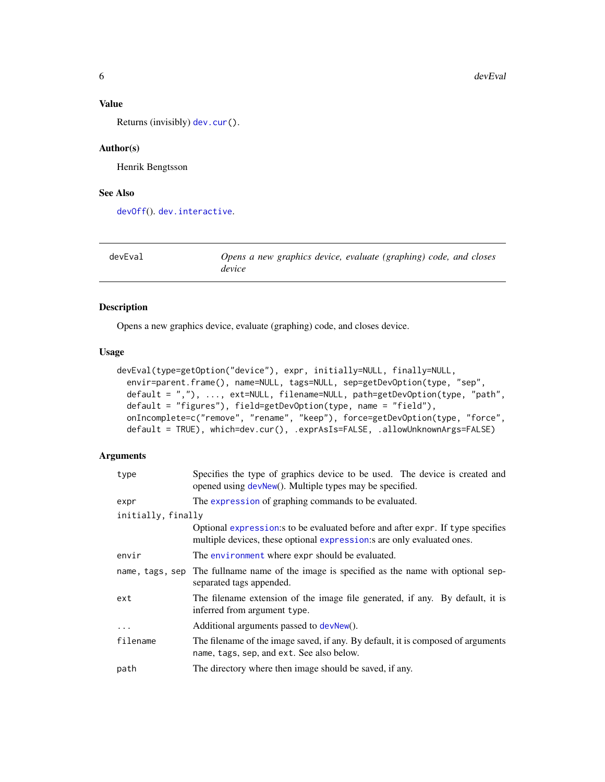<span id="page-5-0"></span>Returns (invisibly) [dev.cur\(](#page-0-0)).

#### Author(s)

Henrik Bengtsson

#### See Also

[devOff](#page-12-1)(). [dev.interactive](#page-0-0).

<span id="page-5-1"></span>

| devEval | Opens a new graphics device, evaluate (graphing) code, and closes |
|---------|-------------------------------------------------------------------|
|         | device                                                            |

#### Description

Opens a new graphics device, evaluate (graphing) code, and closes device.

#### Usage

```
devEval(type=getOption("device"), expr, initially=NULL, finally=NULL,
  envir=parent.frame(), name=NULL, tags=NULL, sep=getDevOption(type, "sep",
  default = ","), ..., ext=NULL, filename=NULL, path=getDevOption(type, "path",
  default = "figures"), field=getDevOption(type, name = "field"),
  onIncomplete=c("remove", "rename", "keep"), force=getDevOption(type, "force",
  default = TRUE), which=dev.cur(), .exprAsIs=FALSE, .allowUnknownArgs=FALSE)
```

| type               | Specifies the type of graphics device to be used. The device is created and<br>opened using devNew(). Multiple types may be specified.                   |
|--------------------|----------------------------------------------------------------------------------------------------------------------------------------------------------|
| expr               | The expression of graphing commands to be evaluated.                                                                                                     |
| initially, finally |                                                                                                                                                          |
|                    | Optional expression: s to be evaluated before and after expr. If type specifies<br>multiple devices, these optional expression: are only evaluated ones. |
| envir              | The environment where expr should be evaluated.                                                                                                          |
|                    | name, tags, sep The fullname name of the image is specified as the name with optional sep-<br>separated tags appended.                                   |
| ext                | The filename extension of the image file generated, if any. By default, it is<br>inferred from argument type.                                            |
| $\cdots$           | Additional arguments passed to devNew().                                                                                                                 |
| filename           | The filename of the image saved, if any. By default, it is composed of arguments<br>name, tags, sep, and ext. See also below.                            |
| path               | The directory where then image should be saved, if any.                                                                                                  |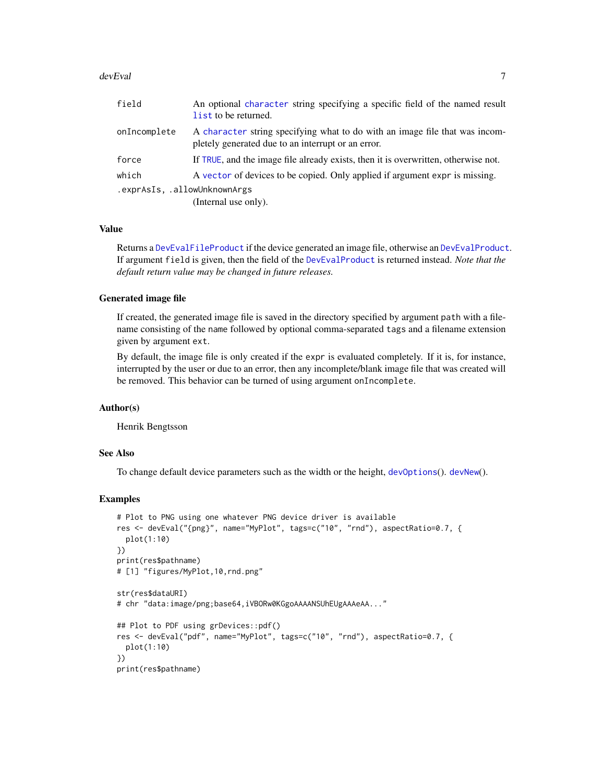#### <span id="page-6-0"></span>devEval 7 and 3 and 3 and 3 and 3 and 3 and 3 and 3 and 3 and 3 and 3 and 3 and 3 and 3 and 3 and 3 and 3 and 3 and 3 and 3 and 3 and 3 and 3 and 3 and 3 and 3 and 3 and 3 and 3 and 3 and 3 and 3 and 3 and 3 and 3 and 3 an

| field                        | An optional character string specifying a specific field of the named result<br>list to be returned.                              |
|------------------------------|-----------------------------------------------------------------------------------------------------------------------------------|
| onIncomplete                 | A character string specifying what to do with an image file that was incom-<br>pletely generated due to an interrupt or an error. |
| force                        | If TRUE, and the image file already exists, then it is overwritten, otherwise not.                                                |
| which                        | A vector of devices to be copied. Only applied if argument expr is missing.                                                       |
| .exprAsIs, .allowUnknownArgs |                                                                                                                                   |
|                              | (Internal use only).                                                                                                              |

#### Value

Returns a [DevEvalFileProduct](#page-0-0) if the device generated an image file, otherwise an [DevEvalProduct](#page-0-0). If argument field is given, then the field of the [DevEvalProduct](#page-0-0) is returned instead. *Note that the default return value may be changed in future releases.*

#### Generated image file

If created, the generated image file is saved in the directory specified by argument path with a filename consisting of the name followed by optional comma-separated tags and a filename extension given by argument ext.

By default, the image file is only created if the expr is evaluated completely. If it is, for instance, interrupted by the user or due to an error, then any incomplete/blank image file that was created will be removed. This behavior can be turned of using argument onIncomplete.

#### Author(s)

Henrik Bengtsson

#### See Also

To change default device parameters such as the width or the height, [devOptions](#page-12-2)(). [devNew](#page-10-1)().

```
# Plot to PNG using one whatever PNG device driver is available
res <- devEval("{png}", name="MyPlot", tags=c("10", "rnd"), aspectRatio=0.7, {
  plot(1:10)
})
print(res$pathname)
# [1] "figures/MyPlot,10,rnd.png"
str(res$dataURI)
# chr "data:image/png;base64,iVBORw0KGgoAAAANSUhEUgAAAeAA..."
## Plot to PDF using grDevices::pdf()
res <- devEval("pdf", name="MyPlot", tags=c("10", "rnd"), aspectRatio=0.7, {
  plot(1:10)
})
print(res$pathname)
```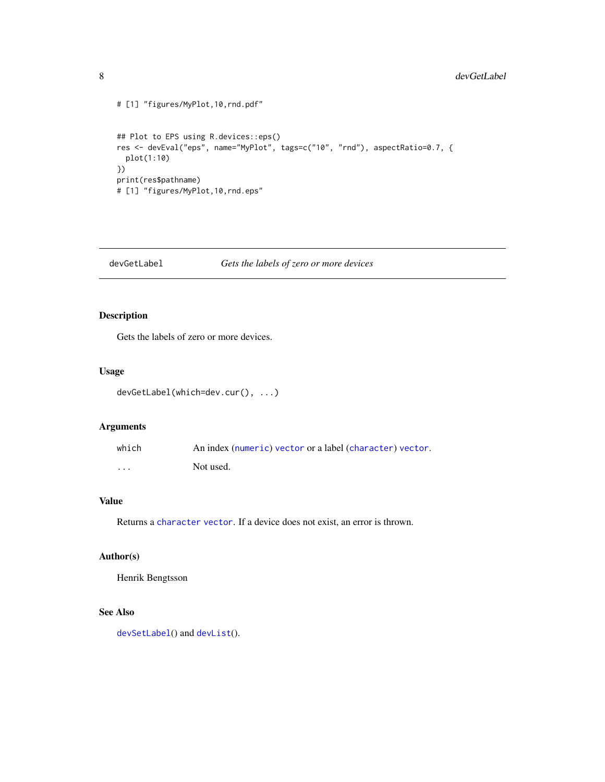```
# [1] "figures/MyPlot,10,rnd.pdf"
## Plot to EPS using R.devices::eps()
res <- devEval("eps", name="MyPlot", tags=c("10", "rnd"), aspectRatio=0.7, {
  plot(1:10)
})
print(res$pathname)
# [1] "figures/MyPlot,10,rnd.eps"
```
#### <span id="page-7-1"></span>devGetLabel *Gets the labels of zero or more devices*

#### Description

Gets the labels of zero or more devices.

#### Usage

```
devGetLabel(which=dev.cur(), ...)
```
#### Arguments

| which    | An index (numeric) vector or a label (character) vector. |
|----------|----------------------------------------------------------|
| $\cdots$ | Not used.                                                |

#### Value

Returns a [character](#page-0-0) [vector](#page-0-0). If a device does not exist, an error is thrown.

#### Author(s)

Henrik Bengtsson

## See Also

[devSetLabel](#page-14-1)() and [devList](#page-10-2)().

<span id="page-7-0"></span>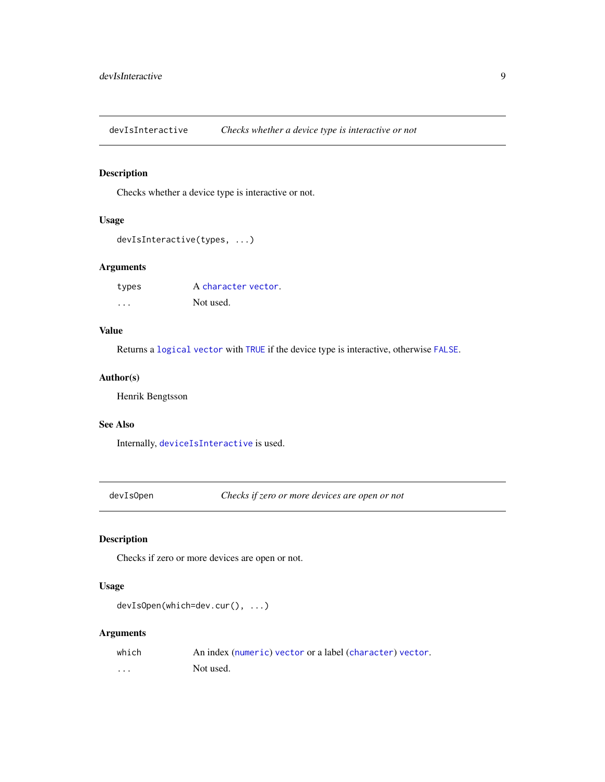<span id="page-8-0"></span>devIsInteractive *Checks whether a device type is interactive or not*

## Description

Checks whether a device type is interactive or not.

#### Usage

```
devIsInteractive(types, ...)
```
## Arguments

| types | A character vector. |
|-------|---------------------|
| .     | Not used.           |

## Value

Returns a [logical](#page-0-0) [vector](#page-0-0) with [TRUE](#page-0-0) if the device type is interactive, otherwise [FALSE](#page-0-0).

#### Author(s)

Henrik Bengtsson

## See Also

Internally, [deviceIsInteractive](#page-0-0) is used.

devIsOpen *Checks if zero or more devices are open or not*

#### Description

Checks if zero or more devices are open or not.

## Usage

```
devIsOpen(which=dev.cur(), ...)
```

| which | An index (numeric) vector or a label (character) vector. |
|-------|----------------------------------------------------------|
| .     | Not used.                                                |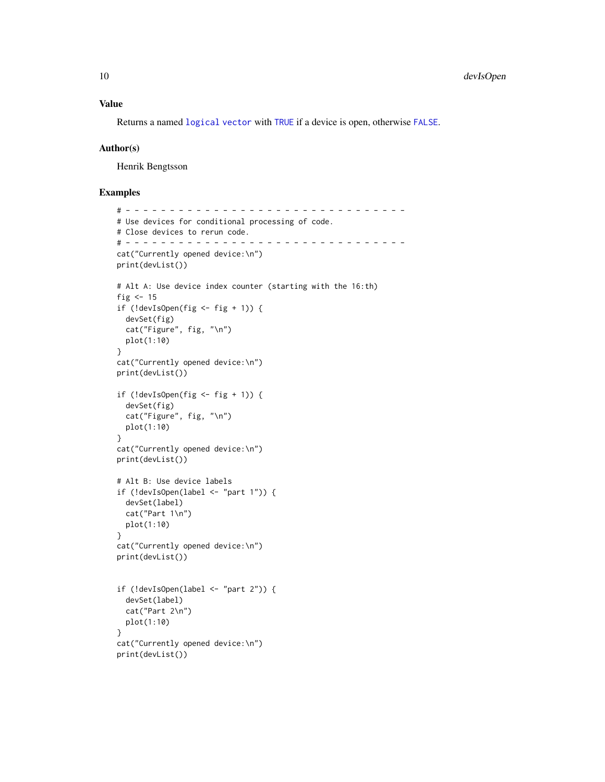<span id="page-9-0"></span>Returns a named [logical](#page-0-0) [vector](#page-0-0) with [TRUE](#page-0-0) if a device is open, otherwise [FALSE](#page-0-0).

#### Author(s)

Henrik Bengtsson

```
# - - - - - - - - - - - - - - - - - - - - - - - - - - - - - - - -
# Use devices for conditional processing of code.
# Close devices to rerun code.
# - - - - - - - - - - - - - - - - - - - - - - - - - - - - - - - -
cat("Currently opened device:\n")
print(devList())
# Alt A: Use device index counter (starting with the 16:th)
fig <-15if (!devIsOpen(fig <- fig + 1)) {
  devSet(fig)
  cat("Figure", fig, "\n")
  plot(1:10)
}
cat("Currently opened device:\n")
print(devList())
if (!devIsOpen(fig <- fig + 1)) {
  devSet(fig)
  cat("Figure", fig, "\n")
  plot(1:10)
}
cat("Currently opened device:\n")
print(devList())
# Alt B: Use device labels
if (!devIsOpen(label <- "part 1")) {
  devSet(label)
  cat("Part 1\n")
  plot(1:10)
}
cat("Currently opened device:\n")
print(devList())
if (!devIsOpen(label <- "part 2")) {
  devSet(label)
  cat("Part 2\n")
  plot(1:10)
}
cat("Currently opened device:\n")
print(devList())
```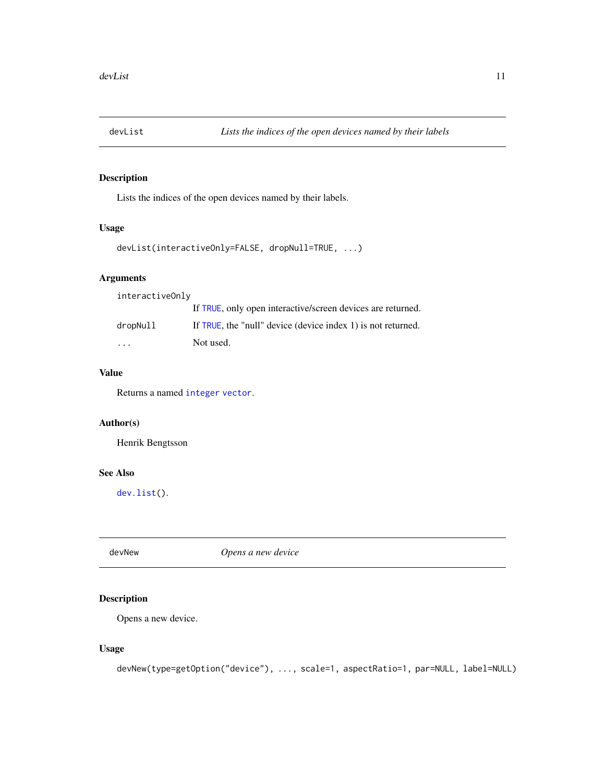<span id="page-10-2"></span><span id="page-10-0"></span>

Lists the indices of the open devices named by their labels.

## Usage

```
devList(interactiveOnly=FALSE, dropNull=TRUE, ...)
```
## Arguments

| interactiveOnly |                                                              |
|-----------------|--------------------------------------------------------------|
|                 | If TRUE, only open interactive/screen devices are returned.  |
| dropNull        | If TRUE, the "null" device (device index 1) is not returned. |
|                 | Not used.                                                    |

## Value

Returns a named [integer](#page-0-0) [vector](#page-0-0).

## Author(s)

Henrik Bengtsson

## See Also

[dev.list\(](#page-0-0)).

<span id="page-10-1"></span>devNew *Opens a new device*

## Description

Opens a new device.

#### Usage

devNew(type=getOption("device"), ..., scale=1, aspectRatio=1, par=NULL, label=NULL)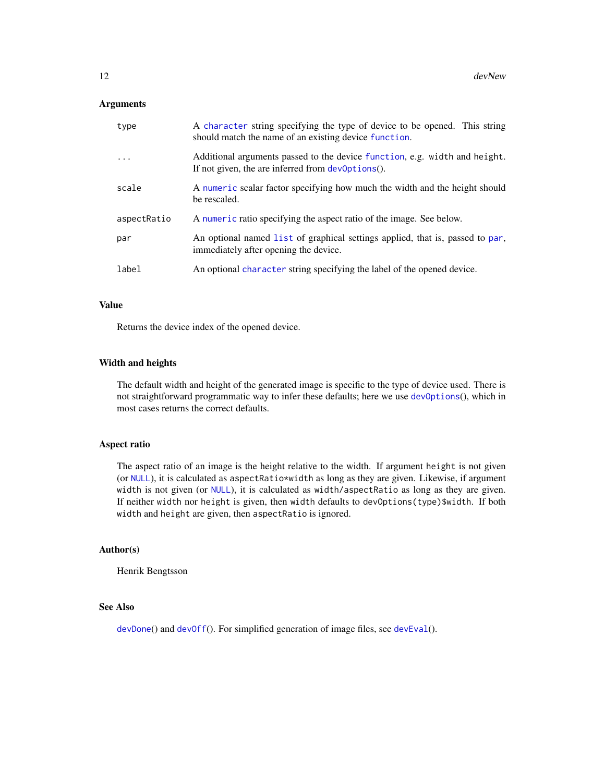#### <span id="page-11-0"></span>Arguments

| type        | A character string specifying the type of device to be opened. This string<br>should match the name of an existing device function. |
|-------------|-------------------------------------------------------------------------------------------------------------------------------------|
| $\ddots$ .  | Additional arguments passed to the device function, e.g. width and height.<br>If not given, the are inferred from devoptions().     |
| scale       | A numeric scalar factor specifying how much the width and the height should<br>be rescaled.                                         |
| aspectRatio | A numeric ratio specifying the aspect ratio of the image. See below.                                                                |
| par         | An optional named list of graphical settings applied, that is, passed to par,<br>immediately after opening the device.              |
| label       | An optional character string specifying the label of the opened device.                                                             |

#### Value

Returns the device index of the opened device.

#### Width and heights

The default width and height of the generated image is specific to the type of device used. There is not straightforward programmatic way to infer these defaults; here we use [devOptions](#page-12-2)(), which in most cases returns the correct defaults.

## Aspect ratio

The aspect ratio of an image is the height relative to the width. If argument height is not given (or [NULL](#page-0-0)), it is calculated as aspectRatio\*width as long as they are given. Likewise, if argument width is not given (or [NULL](#page-0-0)), it is calculated as width/aspectRatio as long as they are given. If neither width nor height is given, then width defaults to devOptions(type)\$width. If both width and height are given, then aspectRatio is ignored.

#### Author(s)

Henrik Bengtsson

#### See Also

[devDone](#page-4-1)() and [devOff](#page-12-1)(). For simplified generation of image files, see [devEval](#page-5-1)().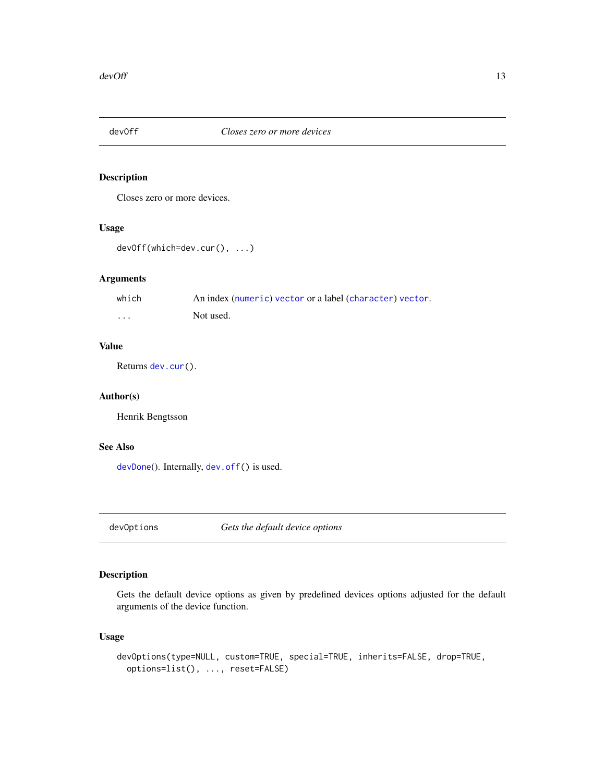<span id="page-12-1"></span><span id="page-12-0"></span>

Closes zero or more devices.

## Usage

devOff(which=dev.cur(), ...)

## Arguments

| which | An index (numeric) vector or a label (character) vector. |
|-------|----------------------------------------------------------|
| .     | Not used.                                                |

#### Value

Returns [dev.cur\(](#page-0-0)).

#### Author(s)

Henrik Bengtsson

## See Also

[devDone](#page-4-1)(). Internally, [dev.off\(](#page-0-0)) is used.

<span id="page-12-2"></span>devOptions *Gets the default device options*

## Description

Gets the default device options as given by predefined devices options adjusted for the default arguments of the device function.

## Usage

```
devOptions(type=NULL, custom=TRUE, special=TRUE, inherits=FALSE, drop=TRUE,
  options=list(), ..., reset=FALSE)
```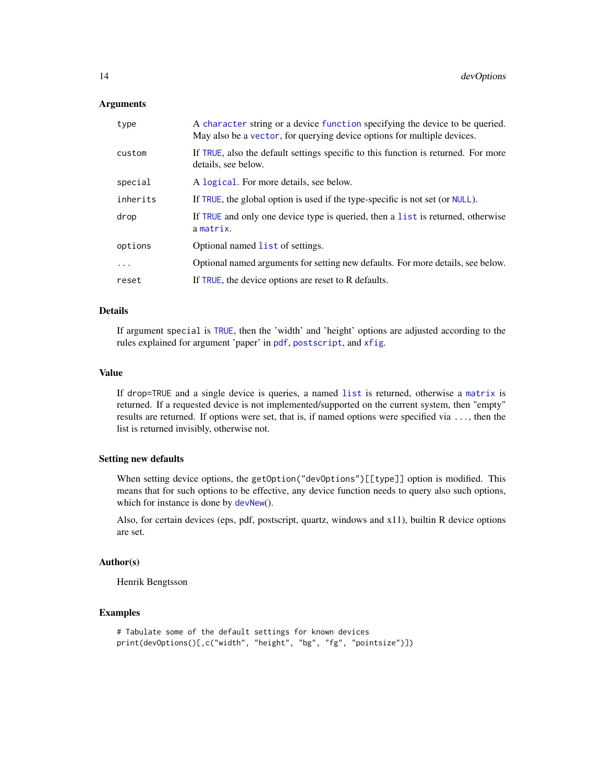#### <span id="page-13-0"></span>**Arguments**

| type     | A character string or a device function specifying the device to be queried.<br>May also be a vector, for querying device options for multiple devices. |
|----------|---------------------------------------------------------------------------------------------------------------------------------------------------------|
| custom   | If TRUE, also the default settings specific to this function is returned. For more<br>details, see below.                                               |
| special  | A logical. For more details, see below.                                                                                                                 |
| inherits | If TRUE, the global option is used if the type-specific is not set (or NULL).                                                                           |
| drop     | If TRUE and only one device type is queried, then a list is returned, otherwise<br>a matrix.                                                            |
| options  | Optional named list of settings.                                                                                                                        |
| .        | Optional named arguments for setting new defaults. For more details, see below.                                                                         |
| reset    | If TRUE, the device options are reset to R defaults.                                                                                                    |

#### Details

If argument special is [TRUE](#page-0-0), then the 'width' and 'height' options are adjusted according to the rules explained for argument 'paper' in [pdf](#page-0-0), [postscript](#page-0-0), and [xfig](#page-0-0).

#### Value

If drop=TRUE and a single device is queries, a named [list](#page-0-0) is returned, otherwise a [matrix](#page-0-0) is returned. If a requested device is not implemented/supported on the current system, then "empty" results are returned. If options were set, that is, if named options were specified via ..., then the list is returned invisibly, otherwise not.

#### Setting new defaults

When setting device options, the getOption("devOptions")[[type]] option is modified. This means that for such options to be effective, any device function needs to query also such options, which for instance is done by [devNew](#page-10-1)().

Also, for certain devices (eps, pdf, postscript, quartz, windows and x11), builtin R device options are set.

#### Author(s)

Henrik Bengtsson

```
# Tabulate some of the default settings for known devices
print(devOptions()[,c("width", "height", "bg", "fg", "pointsize")])
```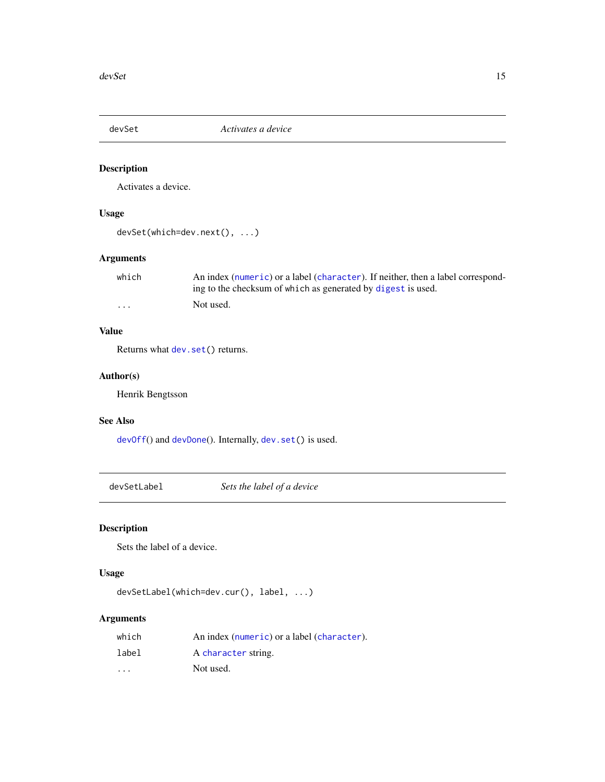<span id="page-14-0"></span>

Activates a device.

## Usage

```
devSet(which=dev.next(), ...)
```
## Arguments

| which                | An index (numeric) or a label (character). If neither, then a label correspond- |
|----------------------|---------------------------------------------------------------------------------|
|                      | ing to the checksum of which as generated by digest is used.                    |
| $\ddot{\phantom{0}}$ | Not used.                                                                       |

## Value

Returns what [dev.set\(](#page-0-0)) returns.

#### Author(s)

Henrik Bengtsson

## See Also

[devOff](#page-12-1)() and [devDone](#page-4-1)(). Internally, [dev.set\(](#page-0-0)) is used.

<span id="page-14-1"></span>devSetLabel *Sets the label of a device*

## Description

Sets the label of a device.

## Usage

```
devSetLabel(which=dev.cur(), label, ...)
```

| which | An index (numeric) or a label (character). |
|-------|--------------------------------------------|
| label | A character string.                        |
| .     | Not used.                                  |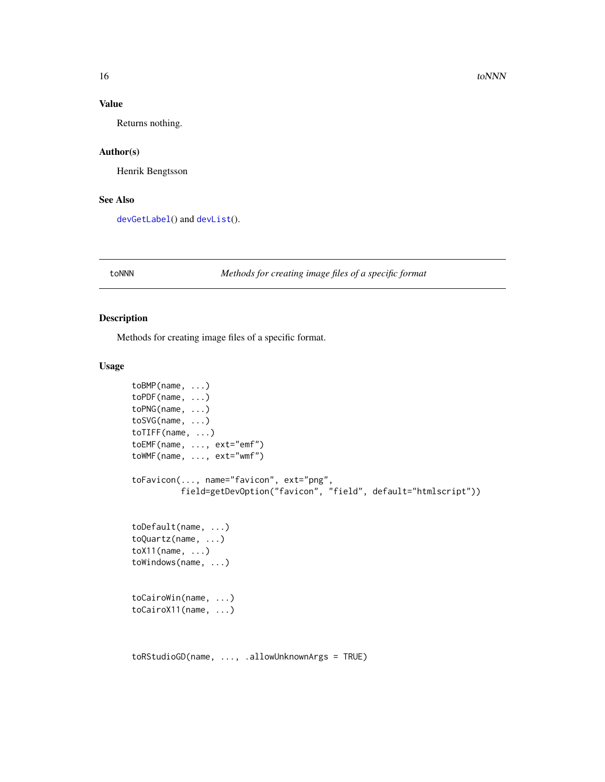#### Value

Returns nothing.

## Author(s)

Henrik Bengtsson

#### See Also

[devGetLabel](#page-7-1)() and [devList](#page-10-2)().

toNNN *Methods for creating image files of a specific format*

## <span id="page-15-1"></span>Description

Methods for creating image files of a specific format.

#### Usage

```
toBMP(name, ...)
toPDF(name, ...)
toPNG(name, ...)
toSVG(name, ...)
toTIFF(name, ...)
toEMF(name, ..., ext="emf")
toWMF(name, ..., ext="wmf")
toFavicon(..., name="favicon", ext="png",
          field=getDevOption("favicon", "field", default="htmlscript"))
toDefault(name, ...)
toQuartz(name, ...)
toX11(name, ...)
toWindows(name, ...)
toCairoWin(name, ...)
toCairoX11(name, ...)
toRStudioGD(name, ..., .allowUnknownArgs = TRUE)
```
<span id="page-15-0"></span>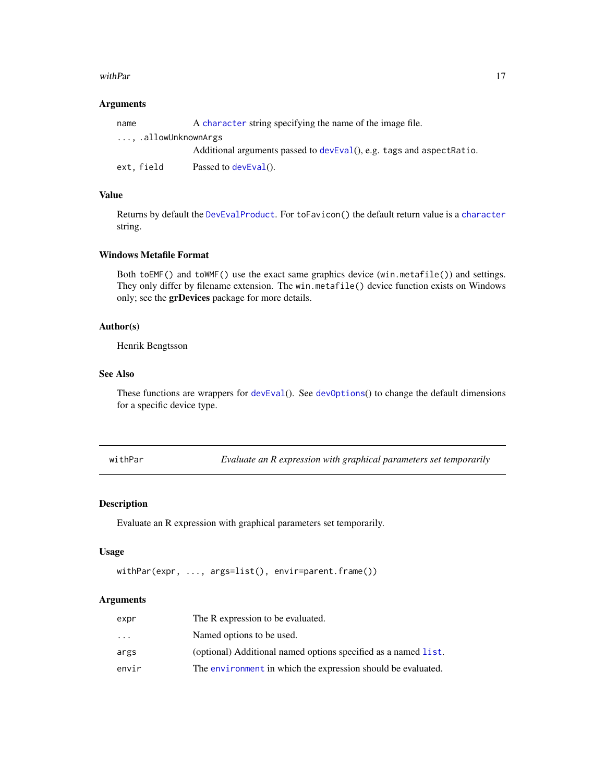#### <span id="page-16-0"></span>with Par  $17$

#### Arguments

| name |                     | A character string specifying the name of the image file.            |  |
|------|---------------------|----------------------------------------------------------------------|--|
|      | , .allowUnknownArgs |                                                                      |  |
|      |                     | Additional arguments passed to devEval(), e.g. tags and aspectRatio. |  |
|      | ext. field          | Passed to $devEval()$ .                                              |  |

#### Value

Returns by default the [DevEvalProduct](#page-0-0). For toFavicon() the default return value is a [character](#page-0-0) string.

#### Windows Metafile Format

Both toEMF() and toWMF() use the exact same graphics device (win.metafile()) and settings. They only differ by filename extension. The win.metafile() device function exists on Windows only; see the grDevices package for more details.

## Author(s)

Henrik Bengtsson

## See Also

These functions are wrappers for [devEval](#page-5-1)(). See [devOptions](#page-12-2)() to change the default dimensions for a specific device type.

withPar *Evaluate an R expression with graphical parameters set temporarily*

## Description

Evaluate an R expression with graphical parameters set temporarily.

## Usage

```
withPar(expr, ..., args=list(), envir=parent.frame())
```

| expr      | The R expression to be evaluated.                              |
|-----------|----------------------------------------------------------------|
| $\ddotsc$ | Named options to be used.                                      |
| args      | (optional) Additional named options specified as a named list. |
| envir     | The environment in which the expression should be evaluated.   |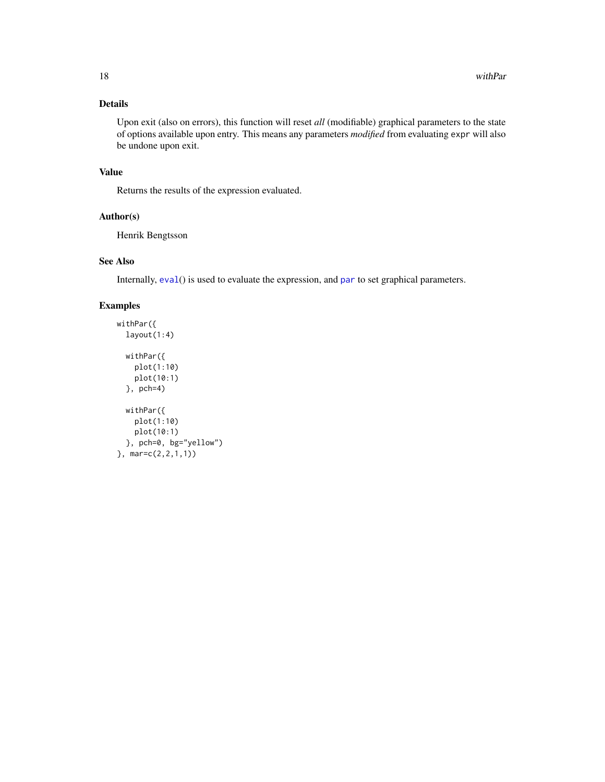## <span id="page-17-0"></span>Details

Upon exit (also on errors), this function will reset *all* (modifiable) graphical parameters to the state of options available upon entry. This means any parameters *modified* from evaluating expr will also be undone upon exit.

#### Value

Returns the results of the expression evaluated.

## Author(s)

Henrik Bengtsson

## See Also

Internally, [eval](#page-0-0)() is used to evaluate the expression, and [par](#page-0-0) to set graphical parameters.

```
withPar({
 layout(1:4)
  withPar({
   plot(1:10)
   plot(10:1)
  }, pch=4)
  withPar({
   plot(1:10)
   plot(10:1)
  }, pch=0, bg="yellow")
}, mar=c(2,2,1,1))
```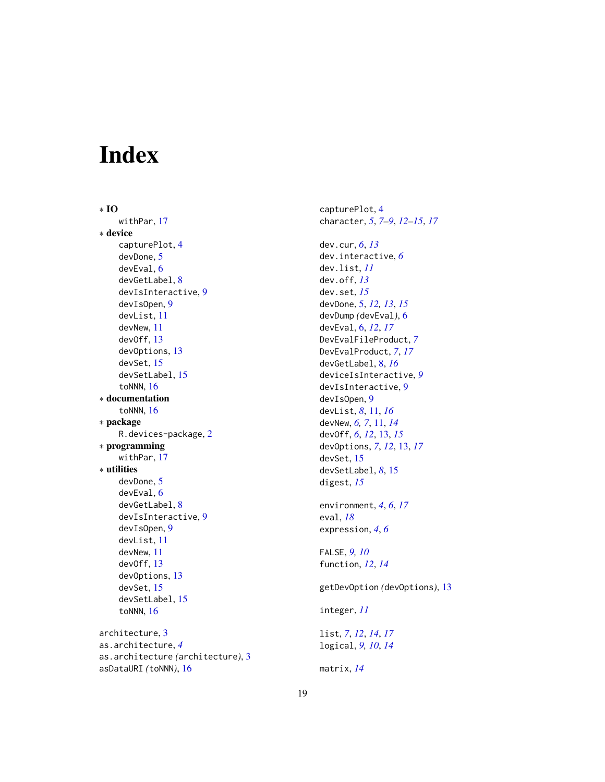# <span id="page-18-0"></span>Index

∗ IO withPar, [17](#page-16-0) ∗ device capturePlot, [4](#page-3-0) devDone, [5](#page-4-0) devEval, [6](#page-5-0) devGetLabel, [8](#page-7-0) devIsInteractive, [9](#page-8-0) devIsOpen, [9](#page-8-0) devList, [11](#page-10-0) devNew, [11](#page-10-0) devOff, [13](#page-12-0) devOptions, [13](#page-12-0) devSet, [15](#page-14-0) devSetLabel, [15](#page-14-0) toNNN, [16](#page-15-0) ∗ documentation toNNN, [16](#page-15-0) ∗ package R.devices-package, [2](#page-1-0) ∗ programming withPar, [17](#page-16-0) ∗ utilities devDone, [5](#page-4-0) devEval, [6](#page-5-0) devGetLabel, [8](#page-7-0) devIsInteractive, [9](#page-8-0) devIsOpen, [9](#page-8-0) devList, [11](#page-10-0) devNew, [11](#page-10-0) devOff, [13](#page-12-0) devOptions, [13](#page-12-0) devSet, [15](#page-14-0) devSetLabel, [15](#page-14-0) toNNN, [16](#page-15-0) architecture, [3](#page-2-0) as.architecture, *[4](#page-3-0)* as.architecture *(*architecture*)*, [3](#page-2-0) asDataURI *(*toNNN*)*, [16](#page-15-0)

capturePlot, [4](#page-3-0) character, *[5](#page-4-0)*, *[7](#page-6-0)[–9](#page-8-0)*, *[12](#page-11-0)[–15](#page-14-0)*, *[17](#page-16-0)* dev.cur, *[6](#page-5-0)*, *[13](#page-12-0)* dev.interactive, *[6](#page-5-0)* dev.list, *[11](#page-10-0)* dev.off, *[13](#page-12-0)* dev.set, *[15](#page-14-0)* devDone, [5,](#page-4-0) *[12,](#page-11-0) [13](#page-12-0)*, *[15](#page-14-0)* devDump *(*devEval*)*, [6](#page-5-0) devEval, [6,](#page-5-0) *[12](#page-11-0)*, *[17](#page-16-0)* DevEvalFileProduct, *[7](#page-6-0)* DevEvalProduct, *[7](#page-6-0)*, *[17](#page-16-0)* devGetLabel, [8,](#page-7-0) *[16](#page-15-0)* deviceIsInteractive, *[9](#page-8-0)* devIsInteractive, [9](#page-8-0) devIsOpen, [9](#page-8-0) devList, *[8](#page-7-0)*, [11,](#page-10-0) *[16](#page-15-0)* devNew, *[6,](#page-5-0) [7](#page-6-0)*, [11,](#page-10-0) *[14](#page-13-0)* devOff, *[6](#page-5-0)*, *[12](#page-11-0)*, [13,](#page-12-0) *[15](#page-14-0)* devOptions, *[7](#page-6-0)*, *[12](#page-11-0)*, [13,](#page-12-0) *[17](#page-16-0)* devSet, [15](#page-14-0) devSetLabel, *[8](#page-7-0)*, [15](#page-14-0) digest, *[15](#page-14-0)* environment, *[4](#page-3-0)*, *[6](#page-5-0)*, *[17](#page-16-0)* eval, *[18](#page-17-0)* expression, *[4](#page-3-0)*, *[6](#page-5-0)* FALSE, *[9,](#page-8-0) [10](#page-9-0)* function, *[12](#page-11-0)*, *[14](#page-13-0)* getDevOption *(*devOptions*)*, [13](#page-12-0) integer, *[11](#page-10-0)* list, *[7](#page-6-0)*, *[12](#page-11-0)*, *[14](#page-13-0)*, *[17](#page-16-0)* logical, *[9,](#page-8-0) [10](#page-9-0)*, *[14](#page-13-0)* matrix, *[14](#page-13-0)*